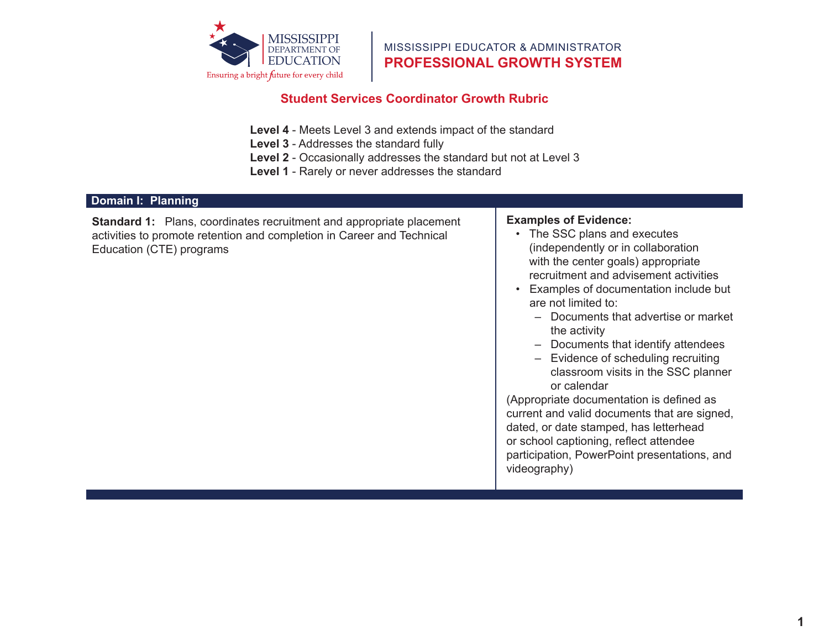

MISSISSIPPI EDUCATOR & ADMINISTRATOR **PROFESSIONAL GROWTH SYSTEM**

#### **Dimension, School Culture, School Culture, School Culture, School Culture, School Culture, School Culture, School Culture, School Culture, School Culture, School Culture, School Culture, School Culture, School Culture, Sc Student Services Coordinator Growth Rubric**

- Level 4 Meets Level 3 and extends impact of the standard
- **Level 3** Addresses the standard fully
- **Level 2** Occasionally addresses the standard but not at Level 3

consideration of vision in

Provides some support

intellectual, and emotional

meaningful connections

**Level 1 - Rarely or never a** members of the school but in passes in the standard **Level 1** - Rarely or never addresses the standard

#### and community **Domain I: Planning**

 $\mathbf{B}$  the capacity of  $\mathbf{B}$  $:$  Plans, coordinary activities to promote retention and completion in Career and Technical Education (CTE) programs the vision Works with the leadership with the leadership trumment and ap Adequately implements **Standard 1:** Plans, coordinates recruitment and appropriate placement  $\qquad \qquad \vert$  **E** 

and community

#### .<br>Makes little or not model **Examples of Evidence:**

- The SSC plans and executes (independently or in collaboration  $\frac{1}{2}$  matrice with  $\frac{1}{2}$  matrices with  $\frac{1}{2}$  matrices with  $\frac{1}{2}$  matrices with  $\frac{1}{2}$  matrices with  $\frac{1}{2}$  matrices with  $\frac{1}{2}$  matrices with  $\frac{1}{2}$  matrices with  $\frac{1}{2}$  matrices with  $\frac{1}{$ with the center goals) appropriate recruitment and advisement activities
- Examples of documentation include but • Examples of documentation include but are not limited to:
	- Alignment of school goals, – Documents that advertise or market the activity

publically visible

 $\mathcal{S}^{\text{S}}_{\text{S}}(\mathcal{S})$  is included a focus on includes a focus on

- Documents that identify attendees
- Evidence of scheduling recruiting classroom visits in the SSC planner or calendar classroom visits in the SSC planner

limited support to ensure propriate decumentati we represent and valid documents that are signed, dated, or date stamped, has letterhead or school captioning, reflect attendee participation, PowerPoint presentations, and panaspaasn,<br>videography) (Appropriate documentation is defined as  $\mathcal{F}$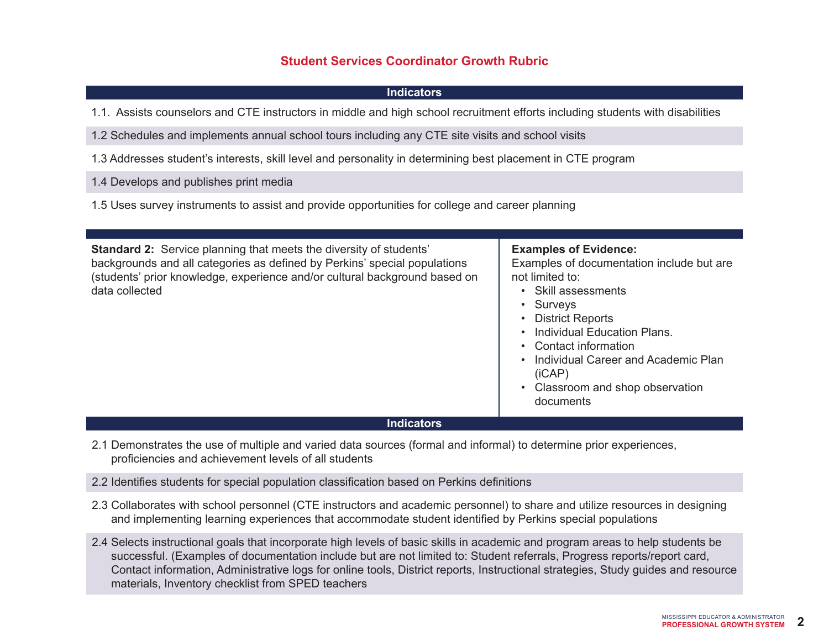## **Indicators**

1.1. Assists counselors and CTE instructors in middle and high school recruitment efforts including students with disabilities

1.2 Schedules and implements annual school tours including any CTE site visits and school visits

1.3 Addresses student's interests, skill level and personality in determining best placement in CTE program

1.4 Develops and publishes print media

1.5 Uses survey instruments to assist and provide opportunities for college and career planning

| <b>Standard 2:</b> Service planning that meets the diversity of students'<br>backgrounds and all categories as defined by Perkins' special populations<br>(students' prior knowledge, experience and/or cultural background based on<br>data collected | <b>Examples of Evidence:</b><br>Examples of documentation include but are<br>not limited to:<br>• Skill assessments<br>• Surveys<br>• District Reports<br>Individual Education Plans.<br>• Contact information<br>Individual Career and Academic Plan<br>(iCAP)<br>• Classroom and shop observation<br>documents |
|--------------------------------------------------------------------------------------------------------------------------------------------------------------------------------------------------------------------------------------------------------|------------------------------------------------------------------------------------------------------------------------------------------------------------------------------------------------------------------------------------------------------------------------------------------------------------------|

## **Indicators**

2.1 Demonstrates the use of multiple and varied data sources (formal and informal) to determine prior experiences, proficiencies and achievement levels of all students

2.2 Identifies students for special population classification based on Perkins definitions

- 2.3 Collaborates with school personnel (CTE instructors and academic personnel) to share and utilize resources in designing and implementing learning experiences that accommodate student identified by Perkins special populations
- 2.4 Selects instructional goals that incorporate high levels of basic skills in academic and program areas to help students be successful. (Examples of documentation include but are not limited to: Student referrals, Progress reports/report card, Contact information, Administrative logs for online tools, District reports, Instructional strategies, Study guides and resource materials, Inventory checklist from SPED teachers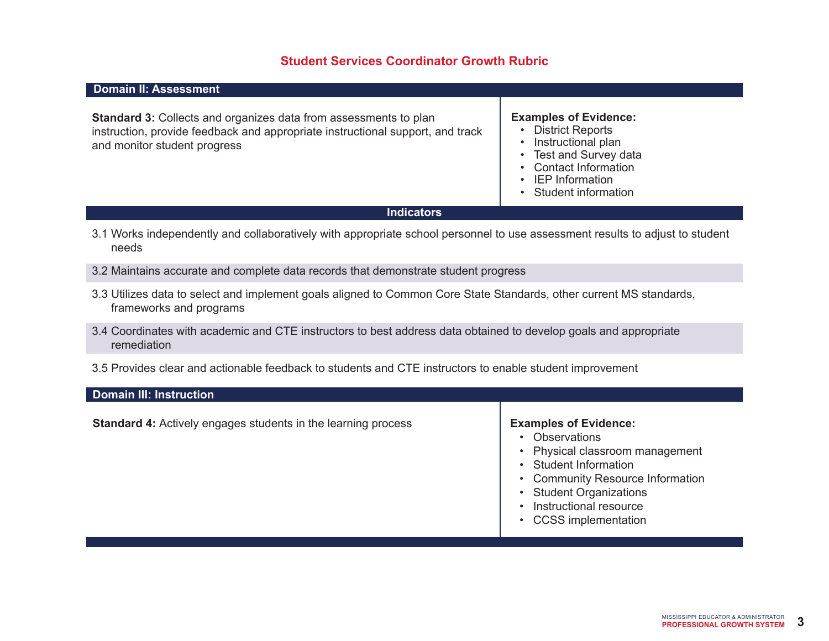## **Domain II: Assessment**

**Standard 3:** Collects and organizes data from assessments to plan instruction, provide feedback and appropriate instructional support, and track and monitor student progress

#### **Examples of Evidence:**

- District Reports
- Instructional plan
- Test and Survey data
- Contact Information
- IEP Information
- Student information

#### **Indicators**

- 3.1 Works independently and collaboratively with appropriate school personnel to use assessment results to adjust to student needs
- 3.2 Maintains accurate and complete data records that demonstrate student progress
- 3.3 Utilizes data to select and implement goals aligned to Common Core State Standards, other current MS standards, frameworks and programs
- 3.4 Coordinates with academic and CTE instructors to best address data obtained to develop goals and appropriate remediation
- 3.5 Provides clear and actionable feedback to students and CTE instructors to enable student improvement

#### **Domain III: Instruction**

**Standard 4:** Actively engages students in the learning process **Examples of Evidence:** 

- Observations
- Physical classroom management
- Student Information
- Community Resource Information
- Student Organizations
- Instructional resource
- CCSS implementation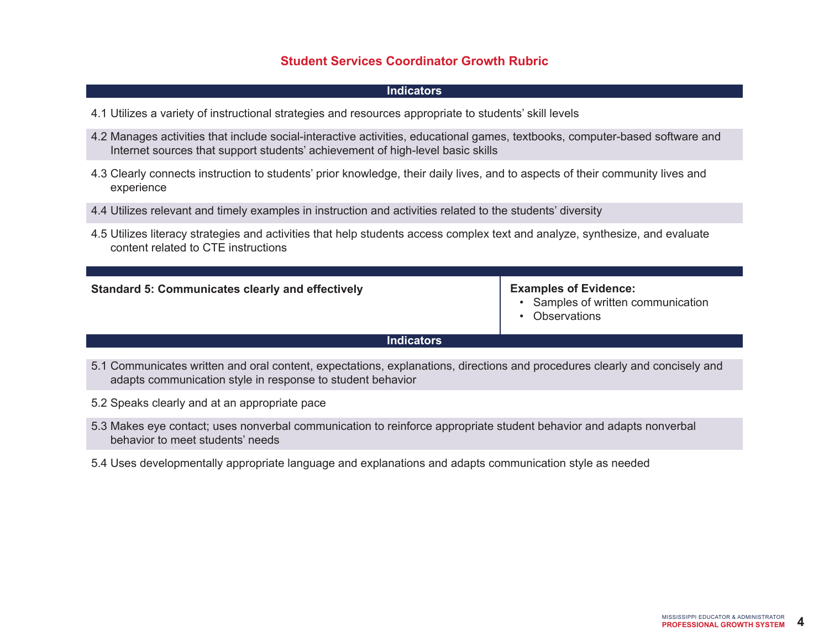## **Indicators**

- 4.1 Utilizes a variety of instructional strategies and resources appropriate to students' skill levels
- 4.2 Manages activities that include social-interactive activities, educational games, textbooks, computer-based software and Internet sources that support students' achievement of high-level basic skills
- 4.3 Clearly connects instruction to students' prior knowledge, their daily lives, and to aspects of their community lives and experience
- 4.4 Utilizes relevant and timely examples in instruction and activities related to the students' diversity
- 4.5 Utilizes literacy strategies and activities that help students access complex text and analyze, synthesize, and evaluate content related to CTE instructions

#### **Standard 5: Communicates clearly and effectively**

#### **Examples of Evidence:**

- Samples of written communication
- Observations

## **Indicators**

- 5.1 Communicates written and oral content, expectations, explanations, directions and procedures clearly and concisely and adapts communication style in response to student behavior
- 5.2 Speaks clearly and at an appropriate pace
- 5.3 Makes eye contact; uses nonverbal communication to reinforce appropriate student behavior and adapts nonverbal behavior to meet students' needs
- 5.4 Uses developmentally appropriate language and explanations and adapts communication style as needed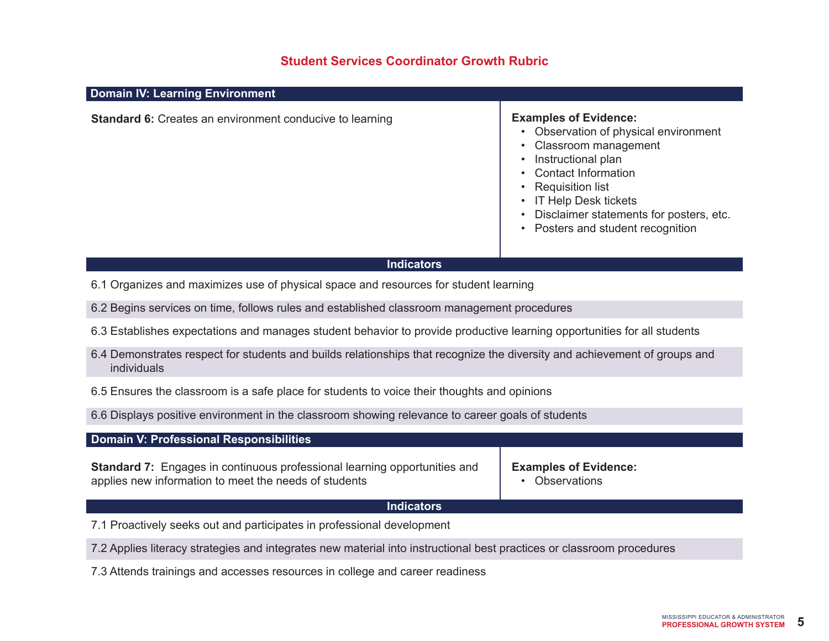## **Domain IV: Learning Environment**

**Standard 6:** Creates an environment conducive to learning **Examples of Evidence:** 

- Observation of physical environment
- Classroom management
- Instructional plan
- Contact Information
- Requisition list
- IT Help Desk tickets
- Disclaimer statements for posters, etc.
- Posters and student recognition

#### **Indicators**

6.1 Organizes and maximizes use of physical space and resources for student learning

6.2 Begins services on time, follows rules and established classroom management procedures

- 6.3 Establishes expectations and manages student behavior to provide productive learning opportunities for all students
- 6.4 Demonstrates respect for students and builds relationships that recognize the diversity and achievement of groups and individuals
- 6.5 Ensures the classroom is a safe place for students to voice their thoughts and opinions
- 6.6 Displays positive environment in the classroom showing relevance to career goals of students

#### **Domain V: Professional Responsibilities**

**Standard 7:** Engages in continuous professional learning opportunities and applies new information to meet the needs of students

**Examples of Evidence:**

• Observations

#### **Indicators**

7.1 Proactively seeks out and participates in professional development

7.2 Applies literacy strategies and integrates new material into instructional best practices or classroom procedures

7.3 Attends trainings and accesses resources in college and career readiness